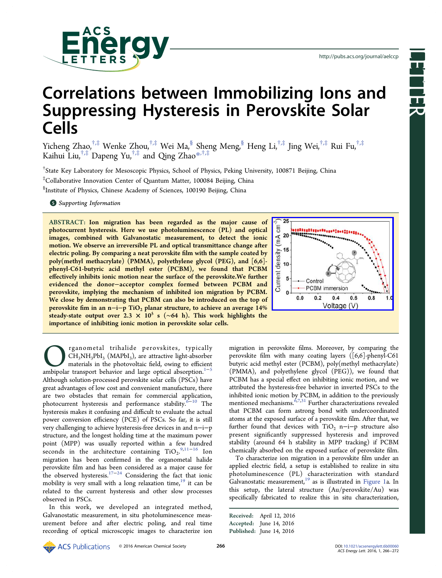

Letter<br>Kenne

# Correlations between Immobilizing Ions and Suppressing Hysteresis in Perovskite Solar Cells

Yicheng Zhao,†,‡ Wenke Zhou,†,‡ Wei Ma,§ Sheng Meng,§ Heng Li,†,‡ Jing Wei,†,‡ Rui Fu,†,‡ Kaihui Liu, $^{\dagger,\ddagger}$  Dapeng Yu, $^{\dagger,\ddagger}$  and Qing Zhao $^{*,\dagger,\ddagger}$ 

† State Key Laboratory for Mesoscopic Physics, School [of P](#page-5-0)hysics, Peking University, 100871 Beijing, China

‡ Collaborative Innovation Center of Quantum Matter, 100084 Beijing, China

§ Institute of Physics, Chinese Academy of Sciences, 100190 Beijing, China

**S** Supporting Information

[AB](#page-5-0)STRACT: [Ion migratio](#page-5-0)n has been regarded as the major cause of photocurrent hysteresis. Here we use photoluminescence (PL) and optical images, combined with Galvanostatic measurement, to detect the ionic motion. We observe an irreversible PL and optical transmittance change after electric poling. By comparing a neat perovskite film with the sample coated by poly(methyl methacrylate) (PMMA), polyethylene glycol (PEG), and [6,6] phenyl-C61-butyric acid methyl ester (PCBM), we found that PCBM effectively inhibits ionic motion near the surface of the perovskite.We further evidenced the donor−acceptor complex formed between PCBM and perovskite, implying the mechanism of inhibited ion migration by PCBM. We close by demonstrating that PCBM can also be introduced on the top of perovskite fim in an n−i−p TiO<sub>2</sub> planar structure, to achieve an average 14% steady-state output over 2.3  $\times$  10<sup>5</sup> s (~64 h). This work highlights the importance of inhibiting ionic motion in perovskite solar cells.



CH<sub>3</sub>NH<sub>3</sub>PbI<sub>3</sub> (MAPbI<sub>3</sub>), are attractive light-absorber materials in the photovoltaic field, owing to efficient ambipolar transport behavior and large optical absorption.<sup>1−5</sup>  $CH<sub>3</sub>NH<sub>3</sub>PbI<sub>3</sub>$  (MAPbI<sub>3</sub>), are attractive light-absorber materials in the photovoltaic field, owing to efficient Although solution-processed perovskite solar cells (PSCs) have great advantages of low cost and convenient manufacture, t[he](#page-5-0)r[e](#page-6-0) are two obstacles that remain for commercial application, photocurrent hysteresis and performance stability.<sup>6-10</sup> The hysteresis makes it confusing and difficult to evaluate the actual power conversion efficiency (PCE) of PSCs. So far[,](#page-6-0) i[t i](#page-6-0)s still very challenging to achieve hysteresis-free devices in and n−i−p structure, and the longest holding time at the maximum power point (MPP) was usually reported within a few hundred seconds in the architecture containing  $TiO<sub>2</sub>$ .<sup>9,11−16</sup> Ion migration has been confirmed in the organometal halide perovskite film and has been considered as a maj[or caus](#page-6-0)e for the observed hysteresis.<sup>17−24</sup> Considering the fact that ionic mobility is very small with a long relaxation time, $19$  it can be related to the current [hyste](#page-6-0)resis and other slow processes observed in PSCs.

In this work, we developed an integrated method, Galvanostatic measurement, in situ photoluminescence measurement before and after electric poling, and real time recording of optical microscopic images to characterize ion migration in perovskite films. Moreover, by comparing the perovskite film with many coating layers ([6,6]-phenyl-C61 butyric acid methyl ester (PCBM), poly(methyl methacrylate) (PMMA), and polyethylene glycol (PEG)), we found that PCBM has a special effect on inhibiting ionic motion, and we attributed the hysteresis-free behavior in inverted PSCs to the inhibited ionic motion by PCBM, in addition to the previously mentioned mechanisms.  $67,31$  Further characterizations revealed that PCBM can form astrong bond with undercoordinated atoms at the exposed su[rface](#page-6-0) of a perovskite film. After that, we further found that devices with TiO<sub>2</sub> n–i–p structure also present significantly suppressed hysteresis and improved stability (around 64 h stability in MPP tracking) if PCBM chemically absorbed on the exposed surface of perovskite film.

To characterize ion migration in a perovskite film under an applied electric field, a setup is established to realize in situ photoluminescence (PL) characterization with standard Galvanostatic measurement,<sup>19</sup> as is illustrated in Figure 1a. In this setup, the lateral structure (Au/perovskite/Au) was specifically fabricated to re[ali](#page-6-0)ze this in situ ch[aracteriza](#page-1-0)tion,

Received: April 12, 2016 Accepted: June 14, 2016 Published: June 14, 2016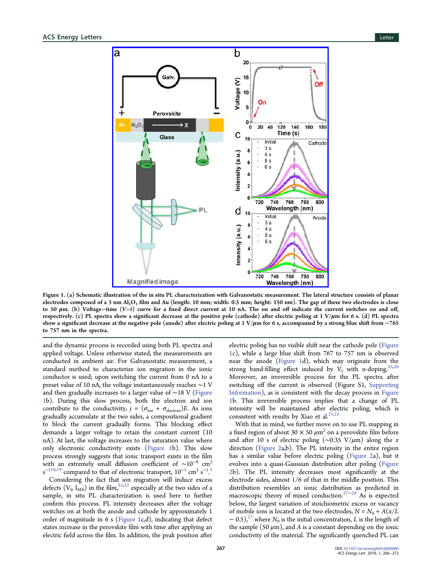<span id="page-1-0"></span>

Figure 1. (a) Schematic illus[tration of the in situ PL characterization with Galvanostatic measurement. The latera](http://pubsdc3.acs.org/action/showImage?doi=10.1021/acsenergylett.6b00060&iName=master.img-002.jpg&w=301&h=335)l structure consists of planar electrodes composed of a 3 nm  $Al_2O_3$  film and Au (length: 10 mm; width: 0.5 mm; height: 150 nm). The gap of these two electrodes is close to 50 μm. (b) Voltage−time  $(V-t)$  curve for a fixed direct current at 10 nA. The on and off indicate the current switches on and off, respectively. (c) PL spectra show a significant decrease at the positive pole (cathode) after electric poling at  $1 \text{ V}/\mu\text{m}$  for 6 s. (d) PL spectra show a significant decrease at the negative pole (anode) after electric poling at 1 V/μm for 6 s, accompanied by a strong blue shift from ∼765 to 757 nm in the spectra.

and the dynamic process is recorded using both PL spectra and applied voltage. Unless otherwise stated, the measurements are conducted in ambient air. For Galvanostatic measurement, a standard method to characterize ion migration in the ionic conductor is used; upon switching the current from 0 nA to a preset value of 10 nA, the voltage instantaneously reaches ∼1 V and then gradually increases to a larger value of ∼18 V (Figure 1b). During this slow process, both the electron and ion contribute to the conductivity,  $j = (\sigma_{\text{ion}} + \sigma_{\text{electron}})E$ . As ions gradually accumulate at the two sides, a compositional gradient to block the current gradually forms. This blocking effect demands a larger voltage to retain the constant current (10 nA). At last, the voltage increases to the saturation value where only electronic conductivity exists (Figure 1b). This slow process strongly suggests that ionic transport exists in the film with an extremely small diffusion coefficient of  $\sim 10^{-8}$  cm<sup>2</sup>  $s^{-118,19}$  compared to that of electronic transport,  $10^{-1}$  cm<sup>2</sup>  $s^{-1.5}$ .

Considering the fact that ion migration will induce excess de[fects](#page-6-0)  $(V<sub>L</sub>, I<sub>MA</sub>)$  in the film,<sup>21,22</sup> especially [a](#page-6-0)t the two sides of a sample, in situ PL characterization is used here to further confirm this process. PL i[ntens](#page-6-0)ity decreases after the voltage switches on at both the anode and cathode by approximately 1 order of magnitude in 6 s (Figure 1c,d), indicating that defect states increase in the perovskite film with time after applying an electric field across the film. In addition, the peak position after

electric poling has no visible shift near the cathode pole (Figure 1c), while a large blue shift from 767 to 757 nm is observed near the anode (Figure 1d), which may originate from the strong band-filling effect induced by  $V_I$  with n-doping.<sup>25,26</sup> Moreover, an irreversible process for the PL spectra after switching off the current is observed (Figure S1, Suppo[rting](#page-6-0) Information), as is consistent with the decay process in Figure 1b. This irreversible process implies that a cha[nge of PL](http://pubs.acs.org/doi/suppl/10.1021/acsenergylett.6b00060/suppl_file/nz6b00060_si_001.pdf) [intensity wi](http://pubs.acs.org/doi/suppl/10.1021/acsenergylett.6b00060/suppl_file/nz6b00060_si_001.pdf)ll be maintained after electric poling, which is consistent with results by Xiao et al. $21,22$ 

With that in mind, we further move on to use PL mapping in a fixed region of about 30  $\times$  50  $\mu$ m<sup>2</sup> [on a](#page-6-0) perovskite film before and after 10 s of electric poling ( $\sim$ 0.35 V/ $\mu$ m) along the x direction (Figure 2a,b). The PL intensity in the entire region has a similar value before electric poling (Figure 2a), but it evolves int[o a quas](#page-2-0)i-Gaussian distribution after poling (Figure 2b). The PL intensity decreases most significantly at the electrode sides, almost 1/6 of that in the mi[ddle](#page-2-0) [posit](#page-2-0)io[n. This](#page-2-0) [d](#page-2-0)istribution resembles an ionic distribution as predicted in macroscopic theory of mixed conduction.<sup>27–29</sup> As is expected below, the largest variation of stoichiometric excess or vacancy of mobile ions is located at the two electro[de](#page-6-0)s,  $N = N_0 + A(x/L)$  $N = N_0 + A(x/L)$  $-$  0.5),<sup>27</sup> where  $N_0$  is the initial concentration, L is the length of the sample (50  $\mu$ m), and A is a constant depending on the ionic condu[ctiv](#page-6-0)ity of the material. The significantly quenched PL can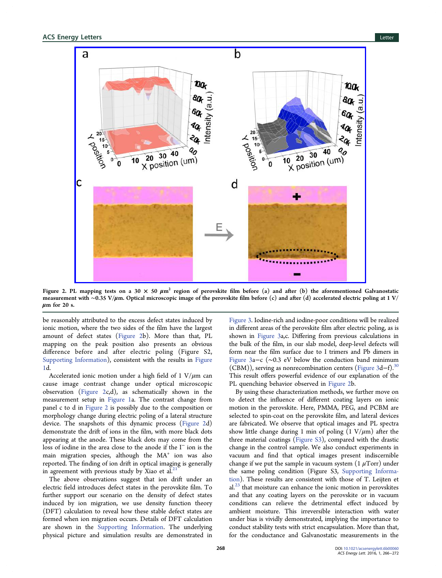<span id="page-2-0"></span>

Figure 2. PL mapping tests on a 30  $\times$  50  $\mu$ m<sup>2</sup> region of perovskite fi[lm before \(a\) and after \(b\) the aforementioned](http://pubsdc3.acs.org/action/showImage?doi=10.1021/acsenergylett.6b00060&iName=master.img-003.jpg&w=406&h=329) Galvanostatic measurement with ∼0.35 V/μm. Optical microscopic image of the perovskite film before (c) and after (d) accelerated electric poling at 1 V/  $\mu$ m for 20 s.

be reasonably attributed to the excess defect states induced by ionic motion, where the two sides of the film have the largest amount of defect states (Figure 2b). More than that, PL mapping on the peak position also presents an obvious difference before and after electric poling (Figure S2, Supporting Information), consistent with the results in Figure 1d.

[Accelerated ionic mot](http://pubs.acs.org/doi/suppl/10.1021/acsenergylett.6b00060/suppl_file/nz6b00060_si_001.pdf)ion under a high field of 1  $V/\mu$ [m can](#page-1-0) [ca](#page-1-0)use image contrast change under optical microscopic observation (Figure 2c,d), as schematically shown in the measurement setup in Figure 1a. The contrast change from panel c to d in Figure 2 is possibly due to the composition or morphology change dur[ing electr](#page-1-0)ic poling of a lateral structure device. The snapshots of this dynamic process (Figure 2d) demonstrate the drift of ions in the film, with more black dots appearing at the anode. These black dots may come from the loss of iodine in the area close to the anode if the I<sup>−</sup> ion is the main migration species, although the  $MA<sup>+</sup>$  ion was also reported. The finding of ion drift in optical imaging is generally in agreement with previous study by Xiao et al.<sup>2</sup>

The above observations suggest that ion drift under an electric field introduces defect states in the per[ovs](#page-6-0)kite film. To further support our scenario on the density of defect states induced by ion migration, we use density function theory (DFT) calculation to reveal how these stable defect states are formed when ion migration occurs. Details of DFT calculation are shown in the Supporting Information. The underlying physical picture and simulation results are demonstrated in

Figure 3. Iodine-rich and iodine-poor conditions will be realized in different areas of the perovskite film after electric poling, as is [shown in](#page-3-0) Figure 3a,c. Differing from previous calculations in the bulk of the film, in our slab model, deep-level defects will form near [the](#page-3-0) film surface due to I trimers and Pb dimers in Figure 3a−c (∼0.3 eV below the conduction band minimum (CBM)), serving as nonrecombination centers (Figure 3d−f).<sup>30</sup> [This resu](#page-3-0)lt offers powerful evidence of our explanation of the PL quenching behavior observed in Figure 2b.

By using these characterization methods, we f[urther](#page-3-0) [m](#page-3-0)ove on to detect the influence of different coating layers on ionic motion in the perovskite. Here, PMMA, PEG, and PCBM are selected to spin-coat on the perovskite film, and lateral devices are fabricated. We observe that optical images and PL spectra show little change during 1 min of poling  $(1 V/\mu m)$  after the three material coatings (Figure S3), compared with the drastic change in the control sample. We also conduct experiments in vacuum and find that [optical im](http://pubs.acs.org/doi/suppl/10.1021/acsenergylett.6b00060/suppl_file/nz6b00060_si_001.pdf)ages present indiscernible change if we put the sample in vacuum system  $(1 \mu Torr)$  under the same poling condition (Figure S3, Supporting Information). These results are consistent with those of T. Leijten et  $al.<sup>23</sup>$  that moisture can enhance the ionic [motion in perovskites](http://pubs.acs.org/doi/suppl/10.1021/acsenergylett.6b00060/suppl_file/nz6b00060_si_001.pdf) [and](http://pubs.acs.org/doi/suppl/10.1021/acsenergylett.6b00060/suppl_file/nz6b00060_si_001.pdf) that any coating layers on the perovskite or in vacuum c[ond](#page-6-0)itions can relieve the detrimental effect induced by ambient moisture. This irreversible interaction with water under bias is vividly demonstrated, implying the importance to conduct stability tests with strict encapsulation. More than that, for the conductance and Galvanostatic measurements in the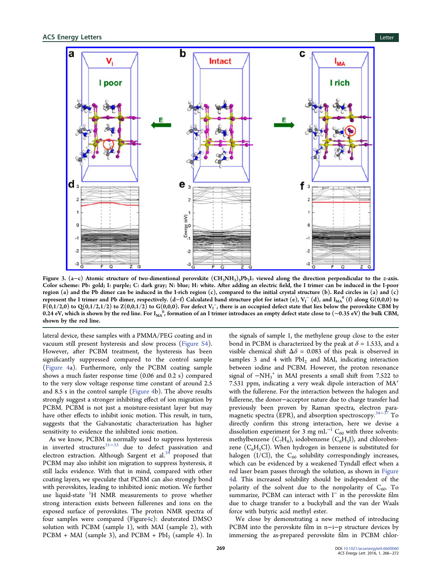<span id="page-3-0"></span>

Figure 3. (a-c) Atomic structure of two-dimentional perovskite  $(CH_3NH_3)_3Pb_2I_7$  viewed along the direction perpendicular to the z-axis. Color scheme: Pb: gold; I: purple; C: dark gray; N: blue; H: white. After adding an electric field, the I trimer can be induced in the I-poor region (a) and the Pb dimer can be induced in the I-rich region  $(c)$ , compared to the initial crystal structure  $(b)$ . Red circles in (a) and  $(c)$ represent the I trimer and Pb dimer, respectively. (d–f) Calculated band structure plot for intact (e),  $V_I^-$  (d), and  $I_{M_A}^{\phantom{M_A}0}$  (f) along G(0,0,0) to F(0,1/2,0) to Q(0,1/2,1/2) to Z(0,0,1/2) to G(0,0,0). For defect  $\rm V_1^-$ , there is an occupied defect state that lies below the perovskite CBM by 0.24 eV, which is shown by the red line. For  $I_{\rm MA}$  , formation of an I trimer introduces an empty defect state close to  $(\sim$ 0.35 eV) the bulk CBM, shown by the red line.

lateral device, these samples with a PMMA/PEG coating and in vacuum still present hysteresis and slow process (Figure S4). However, after PCBM treatment, the hysteresis has been significantly suppressed compared to the cont[rol sampl](http://pubs.acs.org/doi/suppl/10.1021/acsenergylett.6b00060/suppl_file/nz6b00060_si_001.pdf)e (Figure 4a). Furthermore, only the PCBM coating sample shows a much faster response time (0.06 and 0.2 s) compared t[o the very](#page-4-0) slow voltage response time constant of around 2.5 and 8.5 s in the control sample (Figure 4b). The above results strongly suggest a stronger inhibiting effect of ion migration by PCBM. PCBM is not just a m[oisture-res](#page-4-0)istant layer but may have other effects to inhibit ionic motion. This result, in turn, suggests that the Galvanostatic characterization has higher sensitivity to evidence the inhibited ionic motion.

As we know, PCBM is normally used to suppress hysteresis in inverted structures<sup>31−33</sup> due to defect passivation and electron extraction. Although Sargent et al.<sup>34</sup> proposed that PCBM may also inhibi[t ion](#page-6-0) migration to suppress hysteresis, it still lacks evidence. With that in mind, co[mpa](#page-6-0)red with other coating layers, we speculate that PCBM can also strongly bond with perovskites, leading to inhibited ionic motion. We further use liquid-state <sup>1</sup>H NMR measurements to prove whether strong interaction exists between fullerenes and ions on the exposed surface of perovskites. The proton NMR spectra of four samples were compared (Figure4c): deuterated DMSO solution with PCBM (sample 1), with MAI (sample 2), with PCB[M](#page-4-0) + MAI (sample 3), and PCBM + PbI<sub>2</sub> (sample 4). In

the signals of sample 1, the methylene group close to the ester bond in PCBM is characterized by the peak at  $\delta$  = 1.533, and a visible chemical shift  $\Delta\delta$  = 0.083 of this peak is observed in samples 3 and 4 with  $PbI_2$  and MAI, indicating interaction between iodine and PCBM. However, the proton resonance signal of −NH3 <sup>+</sup> in MAI presents a small shift from 7.522 to 7.531 ppm, indicating a very weak dipole interaction of MA<sup>+</sup> with the fullerene. For the interaction between the halogen and fullerene, the donor−acceptor nature due to charge transfer had previously been proven by Raman spectra, electron paramagnetic spectra (EPR), and absorption spectroscopy.<sup>34–37</sup> To directly confirm this strong interaction, here we devise a dissolution experiment for 3 mg mL<sup>-1</sup> C<sub>60</sub> with three [so](#page-6-0)l[ve](#page-6-0)nts: methylbenzene  $(C_7H_8)$ , iodobenzene  $(C_6H_5I)$ , and chlorobenzene  $(C_6H_5Cl)$ . When hydrogen in benzene is substituted for halogen (I/Cl), the  $C_{60}$  solubility correspondingly increases, which can be evidenced by a weakened Tyndall effect when a red laser beam passes through the solution, as shown in Figure 4d. This increased solubility should be independent of the polarity of the solvent due to the nonpolarity of  $C_{60}$ . To [su](#page-4-0)mmarize, PCBM can interact with I<sup>−</sup> in the perovskite film due to charge transfer to a buckyball and the van der Waals force with butyric acid methyl ester.

We close by demonstrating a new method of introducing PCBM into the perovskite film in n−i−p structure devices by immersing the as-prepared perovskite film in PCBM chlor-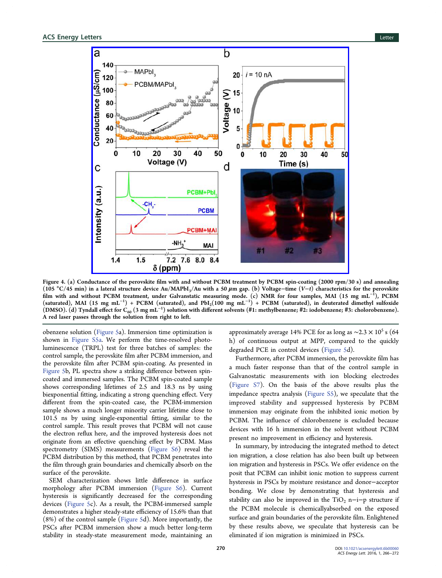<span id="page-4-0"></span>

Figure 4. (a) Conductance of the perovskite fi[lm with and without PCBM treatment by PCBM spin-coating \(2000 rpm/](http://pubsdc3.acs.org/action/showImage?doi=10.1021/acsenergylett.6b00060&iName=master.img-005.jpg&w=359&h=316)30 s) and annealing (105 °C/45 min) in a lateral structure device Au/MAPbI<sub>3</sub>/Au with a 50 µm gap. (b) Voltage−time (V-t) characteristics for the perovskite film with and without PCBM treatment, under Galvanstatic measuring mode. (c) NMR for four samples, MAI (15 mg mL<sup>−</sup><sup>1</sup> ), PCBM (saturated), MAI (15 mg mL<sup>-1</sup>) + PCBM (saturated), and PbI<sub>2</sub>(100 mg mL<sup>-1</sup>) + PCBM (saturated), in deuterated dimethyl sulfoxide (DMSO). (d) Tyndall effect for  $C_{60}$  (3 mg mL $^{-1}$ ) solution with different solvents (#1: methylbenzene; #2: iodobenzene; #3: cholorobenzene). A red laser passes through the solution from right to left.

obenzene solution (Figure 5a). Immersion time optimization is shown in Figure S5a. We perform the time-resolved photoluminescence (TR[PL\) test](#page-5-0) for three batches of samples: the control sa[mple, the pe](http://pubs.acs.org/doi/suppl/10.1021/acsenergylett.6b00060/suppl_file/nz6b00060_si_001.pdf)rovskite film after PCBM immersion, and the perovskite film after PCBM spin-coating. As presented in Figure 5b, PL spectra show a striking difference between spincoated and immersed samples. The PCBM spin-coated sample [shows co](#page-5-0)rresponding lifetimes of 2.5 and 18.3 ns by using biexponential fitting, indicating a strong quenching effect. Very different from the spin-coated case, the PCBM-immersion sample shows a much longer minority carrier lifetime close to 101.5 ns by using single-exponential fitting, similar to the control sample. This result proves that PCBM will not cause the electron reflux here, and the improved hysteresis does not originate from an effective quenching effect by PCBM. Mass spectrometry (SIMS) measurements (Figure S6) reveal the PCBM distribution by this method, that PCBM penetrates into the film through grain boundaries and c[hemically a](http://pubs.acs.org/doi/suppl/10.1021/acsenergylett.6b00060/suppl_file/nz6b00060_si_001.pdf)bsorb on the surface of the perovskite.

SEM characterization shows little difference in surface morphology after PCBM immersion (Figure S6). Current hysteresis is significantly decreased for the corresponding devices (Figure 5c). As a result, the PC[BM-immers](http://pubs.acs.org/doi/suppl/10.1021/acsenergylett.6b00060/suppl_file/nz6b00060_si_001.pdf)ed sample demonstrates a higher steady-state efficiency of 15.6% than that (8%) of [the contro](#page-5-0)l sample (Figure 5d). More importantly, the PSCs after PCBM immersion show a much better long-term stability in steady-state me[asuremen](#page-5-0)t mode, maintaining an

approximately average 14% PCE for as long as  $\sim$ 2.3 × 10<sup>5</sup> s (64 h) of continuous output at MPP, compared to the quickly degraded PCE in control devices (Figure 5d).

Furthermore, after PCBM immersion, the perovskite film has a much faster response than tha[t of the](#page-5-0) control sample in Galvanostatic measurements with ion blocking electrodes (Figure S7). On the basis of the above results plus the impedance spectra analysis (Figure S5), we speculate that the i[mproved](http://pubs.acs.org/doi/suppl/10.1021/acsenergylett.6b00060/suppl_file/nz6b00060_si_001.pdf) stability and suppressed hysteresis by PCBM immersion may originate fr[om the inh](http://pubs.acs.org/doi/suppl/10.1021/acsenergylett.6b00060/suppl_file/nz6b00060_si_001.pdf)ibited ionic motion by PCBM. The influence of chlorobenzene is excluded because devices with 16 h immersion in the solvent without PCBM present no improvement in efficiency and hysteresis.

In summary, by introducing the integrated method to detect ion migration, a close relation has also been built up between ion migration and hysteresis in PSCs. We offer evidence on the posit that PCBM can inhibit ionic motion to suppress current hysteresis in PSCs by moisture resistance and donor−acceptor bonding. We close by demonstrating that hysteresis and stability can also be improved in the TiO<sub>2</sub> n-i-p structure if the PCBM molecule is chemicallyabsorbed on the exposed surface and grain boundaries of the perovskite film. Enlightened by these results above, we speculate that hysteresis can be eliminated if ion migration is minimized in PSCs.

270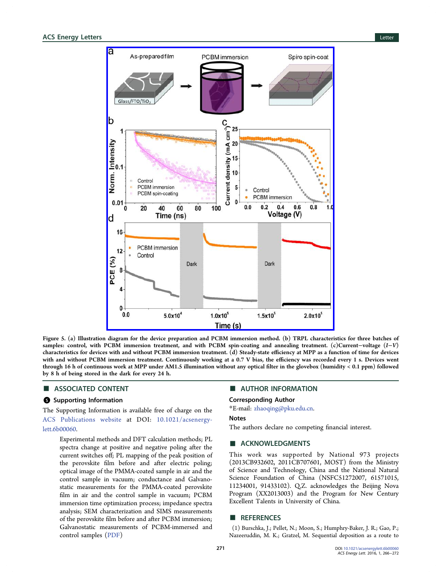<span id="page-5-0"></span>

Figure 5. (a) Illustration [diagram for the device preparation and PCBM immersion method. \(b\) TRPL character](http://pubsdc3.acs.org/action/showImage?doi=10.1021/acsenergylett.6b00060&iName=master.img-006.jpg&w=317&h=396)istics for three batches of samples: control, with PCBM immersion treatment, and with PCBM spin-coating and annealing treatment. (c)Current−voltage (I–V) characteristics for devices with and without PCBM immersion treatment. (d) Steady-state efficiency at MPP as a function of time for devices with and without PCBM immersion treatment. Continuously working at a 0.7 V bias, the efficiency was recorded every 1 s. Devices went through 16 h of continuous work at MPP under AM1.5 illumination without any optical filter in the glovebox (humidity < 0.1 ppm) followed by 8 h of being stored in the dark for every 24 h.

# ■ ASSOCIATED CONTENT

#### **S** Supporting Information

The Supporting Information is available free of charge on the ACS Publications website at DOI: 10.1021/acsenergylett.6b00060.

[Experimental methods a](http://pubs.acs.org)nd DFT cal[culation methods; PL](http://pubs.acs.org/doi/abs/10.1021/acsenergylett.6b00060) [spectra](http://pubs.acs.org/doi/abs/10.1021/acsenergylett.6b00060) change at positive and negative poling after the current switches off; PL mapping of the peak position of the perovskite film before and after electric poling; optical image of the PMMA-coated sample in air and the control sample in vacuum; conductance and Galvanostatic measurements for the PMMA-coated perovskite film in air and the control sample in vacuum; PCBM immersion time optimization process; impedance spectra analysis; SEM characterization and SIMS measurements of the perovskite film before and after PCBM immersion; Galvanostatic measurements of PCBM-immersed and control samples (PDF)

## ■ AUTHOR INFORMATION

#### Corresponding Author

\*E-mail: zhaoqing@pku.edu.cn.

## Notes

The auth[ors declare no compe](mailto:zhaoqing@pku.edu.cn)ting financial interest.

# ■ ACKNOWLEDGMENTS

This work was supported by National 973 projects (2013CB932602, 2011CB707601, MOST) from the Ministry of Science and Technology, China and the National Natural Science Foundation of China (NSFC51272007, 61571015, 11234001, 91433102). Q.Z. acknowledges the Beijing Nova Program (XX2013003) and the Program for New Century Excellent Talents in University of China.

## ■ REFERENCES

(1) Burschka, J.; Pellet, N.; Moon, S.; Humphry-Baker, J. R.; Gao, P.; Nazeeruddin, M. K.; Gratzel, M. Sequential deposition as a route to